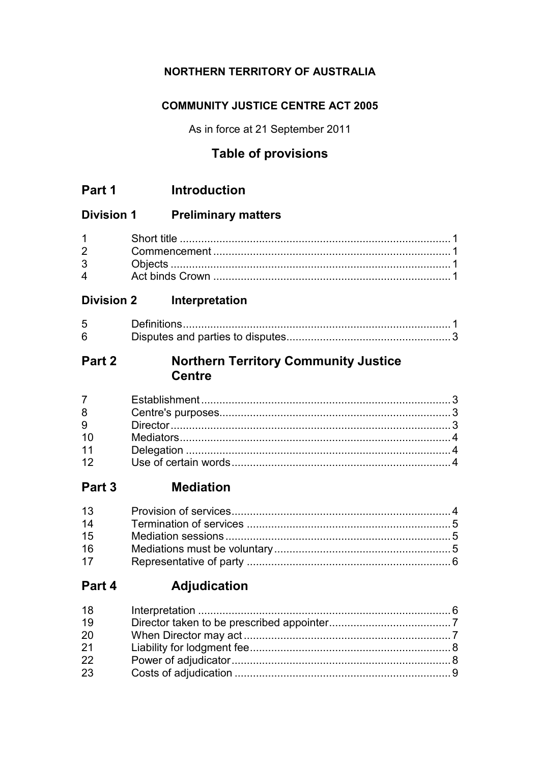# NORTHERN TERRITORY OF AUSTRALIA

# **COMMUNITY JUSTICE CENTRE ACT 2005**

As in force at 21 September 2011

# **Table of provisions**

#### **Division 1 Preliminary matters**

| $1 \quad \Box$ |  |
|----------------|--|
| $2^{\sim}$     |  |
| $3^{\circ}$    |  |
| $\mathbf 4$    |  |

#### Interpretation **Division 2**

| ト |  |
|---|--|
|   |  |

#### **Northern Territory Community Justice** Part 2 **Centre**

| $7 \quad$ |  |
|-----------|--|
| 8         |  |
| 9         |  |
|           |  |
| 11        |  |
| 12        |  |

#### Part 3 **Mediation**

| 13 |  |
|----|--|
| 14 |  |
| 15 |  |
| 16 |  |
| 17 |  |

#### **Adjudication** Part 4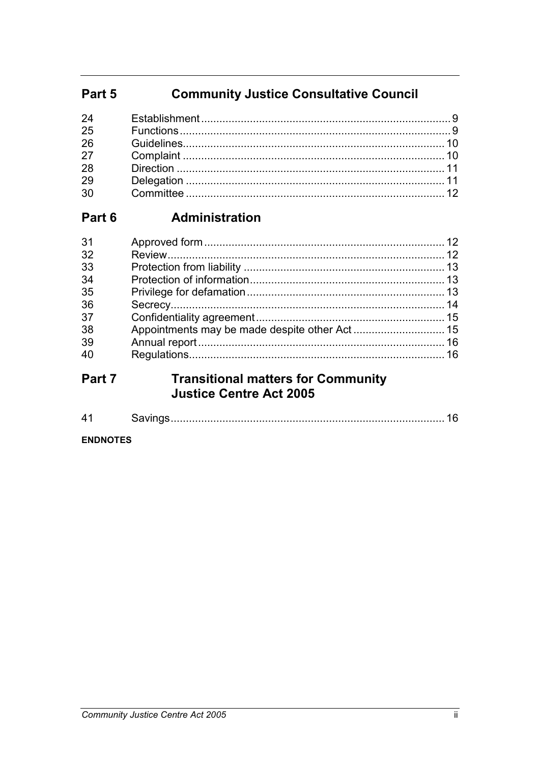#### **Community Justice Consultative Council** Part 5

| 24 |  |
|----|--|
| 25 |  |
| 26 |  |
| 27 |  |
| 28 |  |
| 29 |  |
| 30 |  |
|    |  |

#### Administration Part 6

| 31 |  |
|----|--|
| 32 |  |
| 33 |  |
| 34 |  |
| 35 |  |
| 36 |  |
| 37 |  |
| 38 |  |
| 39 |  |
| 40 |  |
|    |  |

#### **Transitional matters for Community** Part 7 **Justice Centre Act 2005**

|--|--|--|

#### **ENDNOTES**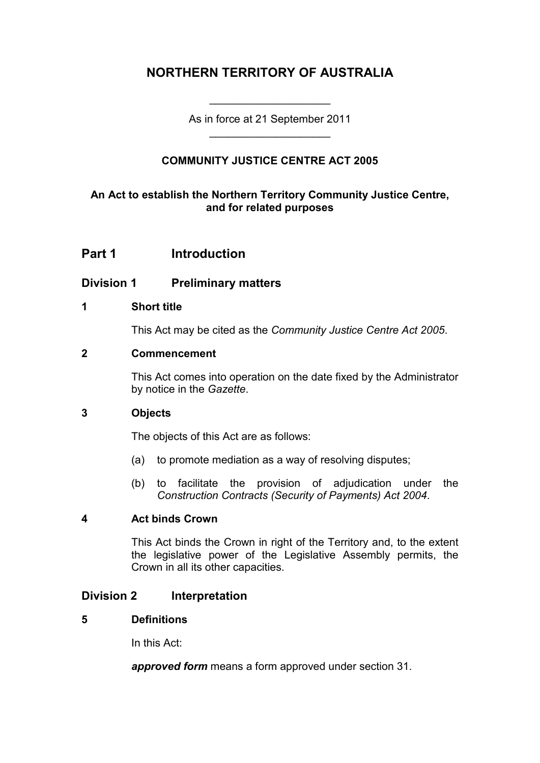# **NORTHERN TERRITORY OF AUSTRALIA**

As in force at 21 September 2011 \_\_\_\_\_\_\_\_\_\_\_\_\_\_\_\_\_\_\_\_

\_\_\_\_\_\_\_\_\_\_\_\_\_\_\_\_\_\_\_\_

# **COMMUNITY JUSTICE CENTRE ACT 2005**

## **An Act to establish the Northern Territory Community Justice Centre, and for related purposes**

# **Part 1 Introduction**

## **Division 1 Preliminary matters**

#### **1 Short title**

This Act may be cited as the *Community Justice Centre Act 2005*.

#### **2 Commencement**

This Act comes into operation on the date fixed by the Administrator by notice in the *Gazette*.

#### **3 Objects**

The objects of this Act are as follows:

- (a) to promote mediation as a way of resolving disputes;
- (b) to facilitate the provision of adjudication under the *Construction Contracts (Security of Payments) Act 2004*.

#### **4 Act binds Crown**

This Act binds the Crown in right of the Territory and, to the extent the legislative power of the Legislative Assembly permits, the Crown in all its other capacities.

## **Division 2 Interpretation**

#### **5 Definitions**

In this Act:

*approved form* means a form approved under section 31.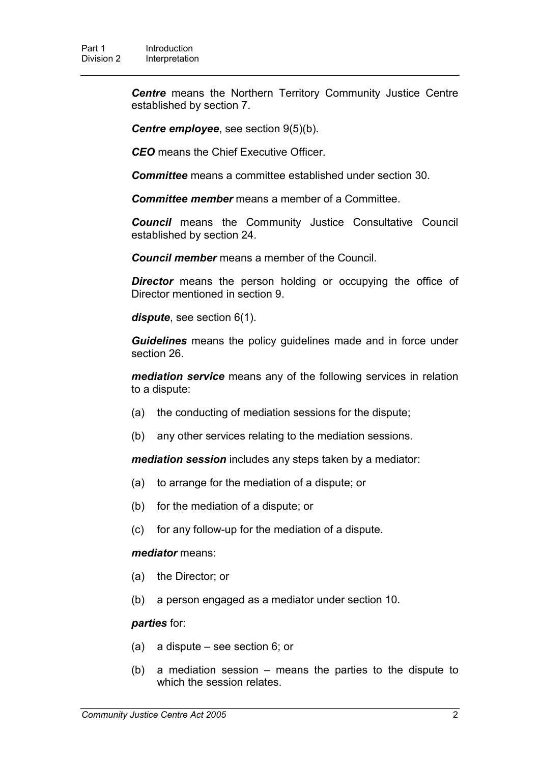*Centre* means the Northern Territory Community Justice Centre established by section 7.

*Centre employee*, see section 9(5)(b).

*CEO* means the Chief Executive Officer.

*Committee* means a committee established under section 30.

*Committee member* means a member of a Committee.

*Council* means the Community Justice Consultative Council established by section 24.

*Council member* means a member of the Council.

**Director** means the person holding or occupying the office of Director mentioned in section 9.

*dispute*, see section 6(1).

*Guidelines* means the policy guidelines made and in force under section 26.

*mediation service* means any of the following services in relation to a dispute:

- (a) the conducting of mediation sessions for the dispute;
- (b) any other services relating to the mediation sessions.

*mediation session* includes any steps taken by a mediator:

- (a) to arrange for the mediation of a dispute; or
- (b) for the mediation of a dispute; or
- (c) for any follow-up for the mediation of a dispute.

#### *mediator* means:

- (a) the Director; or
- (b) a person engaged as a mediator under section 10.

#### *parties* for:

- (a) a dispute see section 6; or
- (b) a mediation session means the parties to the dispute to which the session relates.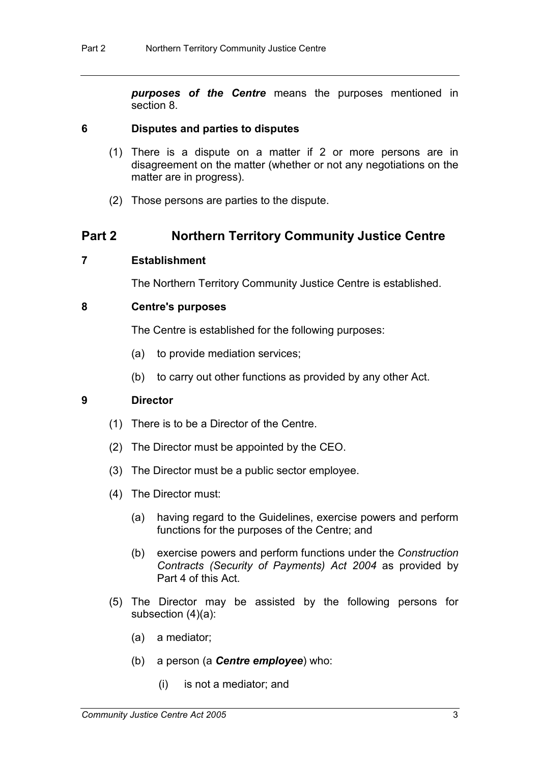*purposes of the Centre* means the purposes mentioned in section 8.

#### **6 Disputes and parties to disputes**

- (1) There is a dispute on a matter if 2 or more persons are in disagreement on the matter (whether or not any negotiations on the matter are in progress).
- (2) Those persons are parties to the dispute.

# **Part 2 Northern Territory Community Justice Centre**

#### **7 Establishment**

The Northern Territory Community Justice Centre is established.

#### **8 Centre's purposes**

The Centre is established for the following purposes:

- (a) to provide mediation services;
- (b) to carry out other functions as provided by any other Act.

#### **9 Director**

- (1) There is to be a Director of the Centre.
- (2) The Director must be appointed by the CEO.
- (3) The Director must be a public sector employee.
- (4) The Director must:
	- (a) having regard to the Guidelines, exercise powers and perform functions for the purposes of the Centre; and
	- (b) exercise powers and perform functions under the *Construction Contracts (Security of Payments) Act 2004* as provided by Part 4 of this Act.
- (5) The Director may be assisted by the following persons for subsection (4)(a):
	- (a) a mediator;
	- (b) a person (a *Centre employee*) who:
		- (i) is not a mediator; and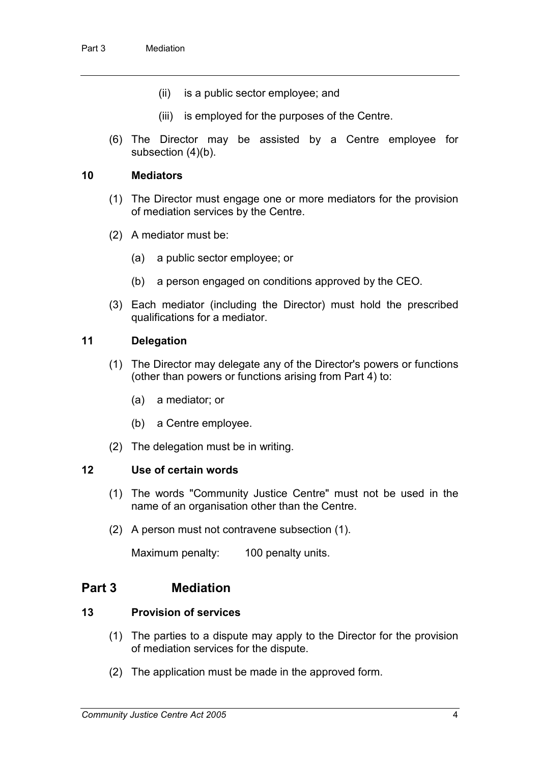- (ii) is a public sector employee; and
- (iii) is employed for the purposes of the Centre.
- (6) The Director may be assisted by a Centre employee for subsection (4)(b).

#### **10 Mediators**

- (1) The Director must engage one or more mediators for the provision of mediation services by the Centre.
- (2) A mediator must be:
	- (a) a public sector employee; or
	- (b) a person engaged on conditions approved by the CEO.
- (3) Each mediator (including the Director) must hold the prescribed qualifications for a mediator.

## **11 Delegation**

- (1) The Director may delegate any of the Director's powers or functions (other than powers or functions arising from Part 4) to:
	- (a) a mediator; or
	- (b) a Centre employee.
- (2) The delegation must be in writing.

#### **12 Use of certain words**

- (1) The words "Community Justice Centre" must not be used in the name of an organisation other than the Centre.
- (2) A person must not contravene subsection (1).

Maximum penalty: 100 penalty units.

## **Part 3 Mediation**

#### **13 Provision of services**

- (1) The parties to a dispute may apply to the Director for the provision of mediation services for the dispute.
- (2) The application must be made in the approved form.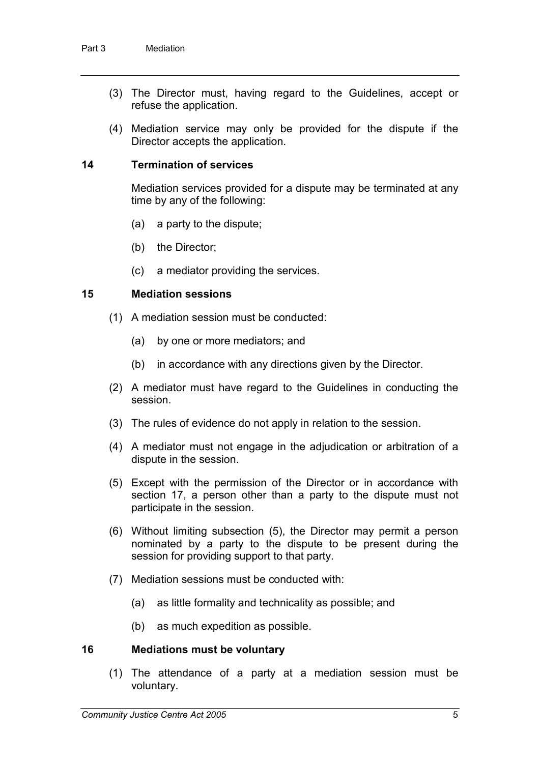- (3) The Director must, having regard to the Guidelines, accept or refuse the application.
- (4) Mediation service may only be provided for the dispute if the Director accepts the application.

#### **14 Termination of services**

Mediation services provided for a dispute may be terminated at any time by any of the following:

- (a) a party to the dispute;
- (b) the Director;
- (c) a mediator providing the services.

#### **15 Mediation sessions**

- (1) A mediation session must be conducted:
	- (a) by one or more mediators; and
	- (b) in accordance with any directions given by the Director.
- (2) A mediator must have regard to the Guidelines in conducting the session.
- (3) The rules of evidence do not apply in relation to the session.
- (4) A mediator must not engage in the adjudication or arbitration of a dispute in the session.
- (5) Except with the permission of the Director or in accordance with section 17, a person other than a party to the dispute must not participate in the session.
- (6) Without limiting subsection (5), the Director may permit a person nominated by a party to the dispute to be present during the session for providing support to that party.
- (7) Mediation sessions must be conducted with:
	- (a) as little formality and technicality as possible; and
	- (b) as much expedition as possible.

#### **16 Mediations must be voluntary**

(1) The attendance of a party at a mediation session must be voluntary.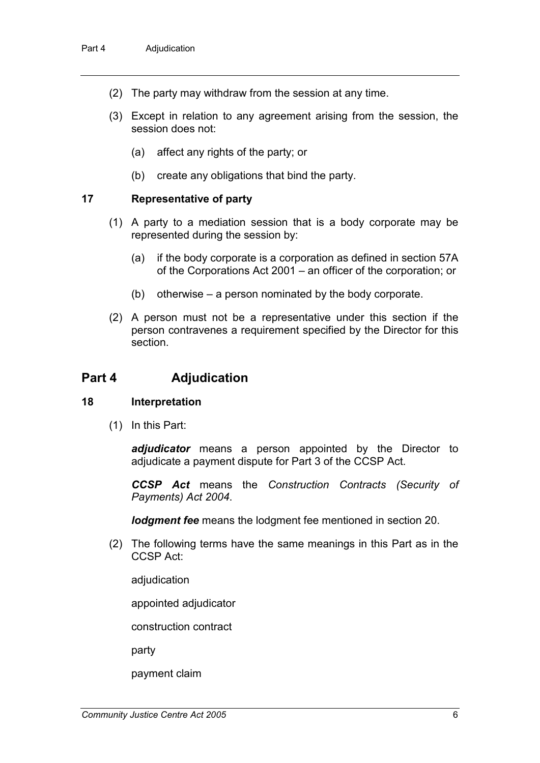- (2) The party may withdraw from the session at any time.
- (3) Except in relation to any agreement arising from the session, the session does not:
	- (a) affect any rights of the party; or
	- (b) create any obligations that bind the party.

#### **17 Representative of party**

- (1) A party to a mediation session that is a body corporate may be represented during the session by:
	- (a) if the body corporate is a corporation as defined in section 57A of the Corporations Act 2001 – an officer of the corporation; or
	- (b) otherwise a person nominated by the body corporate.
- (2) A person must not be a representative under this section if the person contravenes a requirement specified by the Director for this section.

## **Part 4 Adjudication**

#### **18 Interpretation**

(1) In this Part:

*adjudicator* means a person appointed by the Director to adjudicate a payment dispute for Part 3 of the CCSP Act.

*CCSP Act* means the *Construction Contracts (Security of Payments) Act 2004*.

*lodgment fee* means the lodgment fee mentioned in section 20.

(2) The following terms have the same meanings in this Part as in the CCSP Act:

adjudication

appointed adjudicator

construction contract

party

payment claim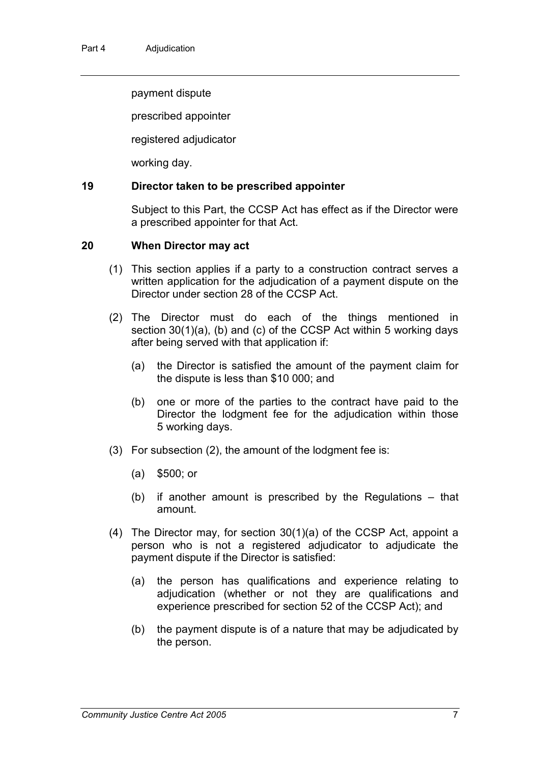payment dispute

prescribed appointer

registered adjudicator

working day.

#### **19 Director taken to be prescribed appointer**

Subject to this Part, the CCSP Act has effect as if the Director were a prescribed appointer for that Act.

#### **20 When Director may act**

- (1) This section applies if a party to a construction contract serves a written application for the adjudication of a payment dispute on the Director under section 28 of the CCSP Act.
- (2) The Director must do each of the things mentioned in section 30(1)(a), (b) and (c) of the CCSP Act within 5 working days after being served with that application if:
	- (a) the Director is satisfied the amount of the payment claim for the dispute is less than \$10 000; and
	- (b) one or more of the parties to the contract have paid to the Director the lodgment fee for the adjudication within those 5 working days.
- (3) For subsection (2), the amount of the lodgment fee is:
	- (a) \$500; or
	- (b) if another amount is prescribed by the Regulations that amount.
- (4) The Director may, for section 30(1)(a) of the CCSP Act, appoint a person who is not a registered adjudicator to adjudicate the payment dispute if the Director is satisfied:
	- (a) the person has qualifications and experience relating to adjudication (whether or not they are qualifications and experience prescribed for section 52 of the CCSP Act); and
	- (b) the payment dispute is of a nature that may be adjudicated by the person.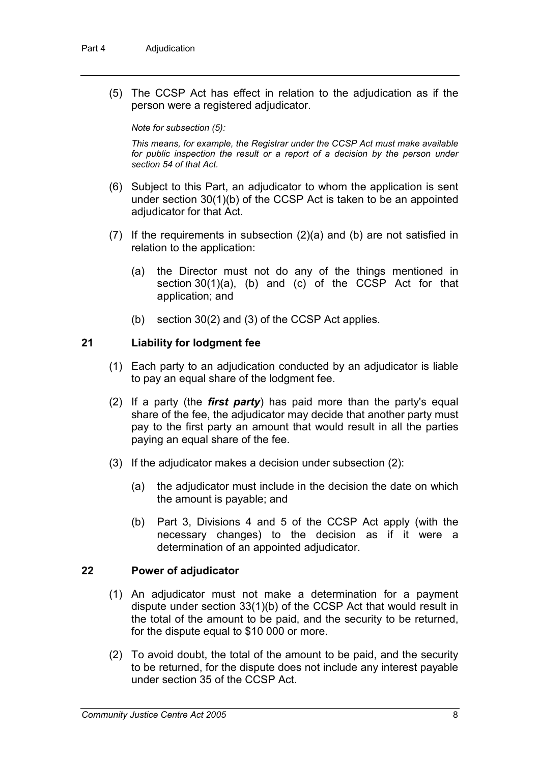(5) The CCSP Act has effect in relation to the adjudication as if the person were a registered adjudicator.

#### *Note for subsection (5):*

*This means, for example, the Registrar under the CCSP Act must make available*  for public inspection the result or a report of a decision by the person under *section 54 of that Act.*

- (6) Subject to this Part, an adjudicator to whom the application is sent under section 30(1)(b) of the CCSP Act is taken to be an appointed adjudicator for that Act.
- (7) If the requirements in subsection (2)(a) and (b) are not satisfied in relation to the application:
	- (a) the Director must not do any of the things mentioned in section 30(1)(a), (b) and (c) of the CCSP Act for that application; and
	- (b) section 30(2) and (3) of the CCSP Act applies.

#### **21 Liability for lodgment fee**

- (1) Each party to an adjudication conducted by an adjudicator is liable to pay an equal share of the lodgment fee.
- (2) If a party (the *first party*) has paid more than the party's equal share of the fee, the adjudicator may decide that another party must pay to the first party an amount that would result in all the parties paying an equal share of the fee.
- (3) If the adjudicator makes a decision under subsection (2):
	- (a) the adjudicator must include in the decision the date on which the amount is payable; and
	- (b) Part 3, Divisions 4 and 5 of the CCSP Act apply (with the necessary changes) to the decision as if it were a determination of an appointed adjudicator.

#### **22 Power of adjudicator**

- (1) An adjudicator must not make a determination for a payment dispute under section 33(1)(b) of the CCSP Act that would result in the total of the amount to be paid, and the security to be returned, for the dispute equal to \$10 000 or more.
- (2) To avoid doubt, the total of the amount to be paid, and the security to be returned, for the dispute does not include any interest payable under section 35 of the CCSP Act.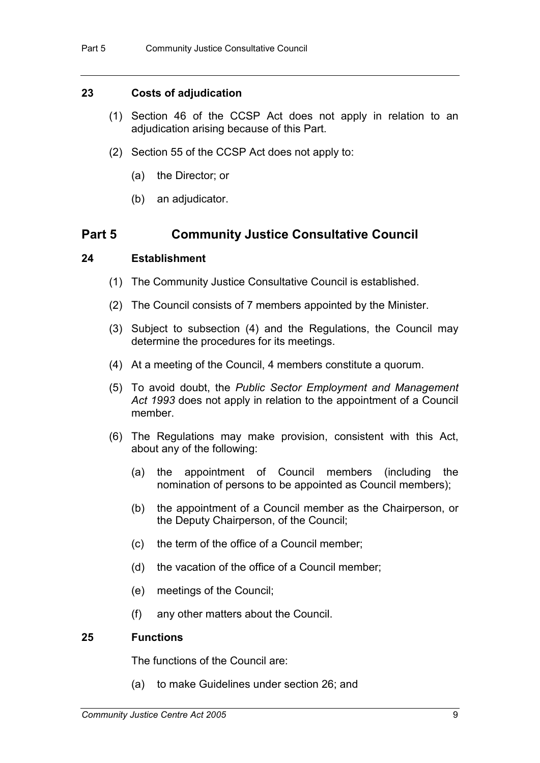#### **23 Costs of adjudication**

- (1) Section 46 of the CCSP Act does not apply in relation to an adjudication arising because of this Part.
- (2) Section 55 of the CCSP Act does not apply to:
	- (a) the Director; or
	- (b) an adjudicator.

## **Part 5 Community Justice Consultative Council**

#### **24 Establishment**

- (1) The Community Justice Consultative Council is established.
- (2) The Council consists of 7 members appointed by the Minister.
- (3) Subject to subsection (4) and the Regulations, the Council may determine the procedures for its meetings.
- (4) At a meeting of the Council, 4 members constitute a quorum.
- (5) To avoid doubt, the *Public Sector Employment and Management Act 1993* does not apply in relation to the appointment of a Council member.
- (6) The Regulations may make provision, consistent with this Act, about any of the following:
	- (a) the appointment of Council members (including the nomination of persons to be appointed as Council members);
	- (b) the appointment of a Council member as the Chairperson, or the Deputy Chairperson, of the Council;
	- (c) the term of the office of a Council member;
	- (d) the vacation of the office of a Council member;
	- (e) meetings of the Council;
	- (f) any other matters about the Council.

#### **25 Functions**

The functions of the Council are:

(a) to make Guidelines under section 26; and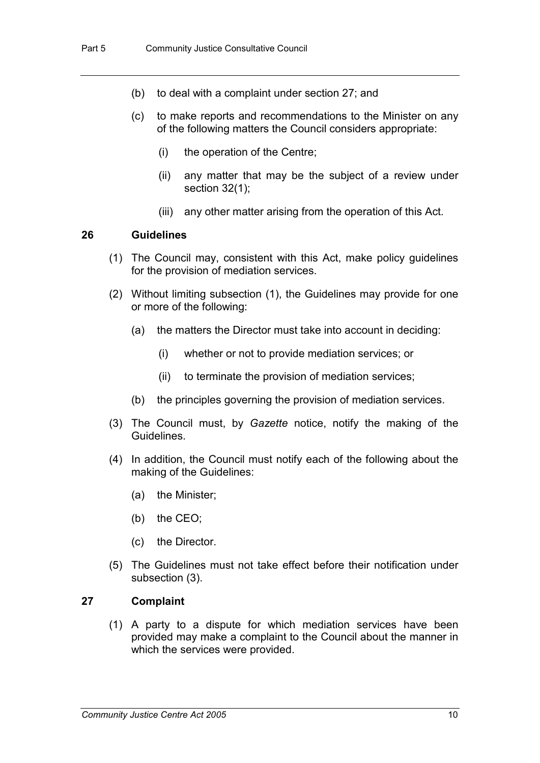- (b) to deal with a complaint under section 27; and
- (c) to make reports and recommendations to the Minister on any of the following matters the Council considers appropriate:
	- (i) the operation of the Centre;
	- (ii) any matter that may be the subject of a review under section 32(1);
	- (iii) any other matter arising from the operation of this Act.

#### **26 Guidelines**

- (1) The Council may, consistent with this Act, make policy guidelines for the provision of mediation services.
- (2) Without limiting subsection (1), the Guidelines may provide for one or more of the following:
	- (a) the matters the Director must take into account in deciding:
		- (i) whether or not to provide mediation services; or
		- (ii) to terminate the provision of mediation services;
	- (b) the principles governing the provision of mediation services.
- (3) The Council must, by *Gazette* notice, notify the making of the Guidelines.
- (4) In addition, the Council must notify each of the following about the making of the Guidelines:
	- (a) the Minister;
	- (b) the CEO;
	- (c) the Director.
- (5) The Guidelines must not take effect before their notification under subsection (3).

#### **27 Complaint**

(1) A party to a dispute for which mediation services have been provided may make a complaint to the Council about the manner in which the services were provided.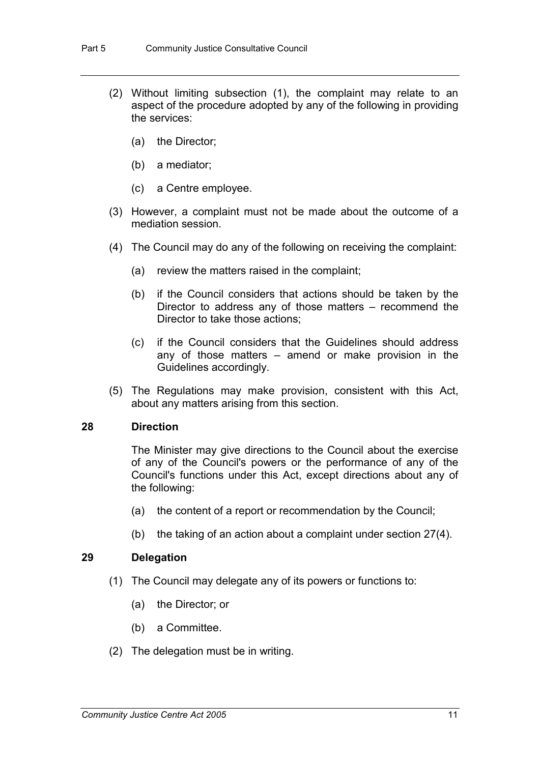- (2) Without limiting subsection (1), the complaint may relate to an aspect of the procedure adopted by any of the following in providing the services:
	- (a) the Director;
	- (b) a mediator;
	- (c) a Centre employee.
- (3) However, a complaint must not be made about the outcome of a mediation session.
- (4) The Council may do any of the following on receiving the complaint:
	- (a) review the matters raised in the complaint;
	- (b) if the Council considers that actions should be taken by the Director to address any of those matters – recommend the Director to take those actions;
	- (c) if the Council considers that the Guidelines should address any of those matters – amend or make provision in the Guidelines accordingly.
- (5) The Regulations may make provision, consistent with this Act, about any matters arising from this section.

## **28 Direction**

The Minister may give directions to the Council about the exercise of any of the Council's powers or the performance of any of the Council's functions under this Act, except directions about any of the following:

- (a) the content of a report or recommendation by the Council;
- (b) the taking of an action about a complaint under section 27(4).

#### **29 Delegation**

- (1) The Council may delegate any of its powers or functions to:
	- (a) the Director; or
	- (b) a Committee.
- (2) The delegation must be in writing.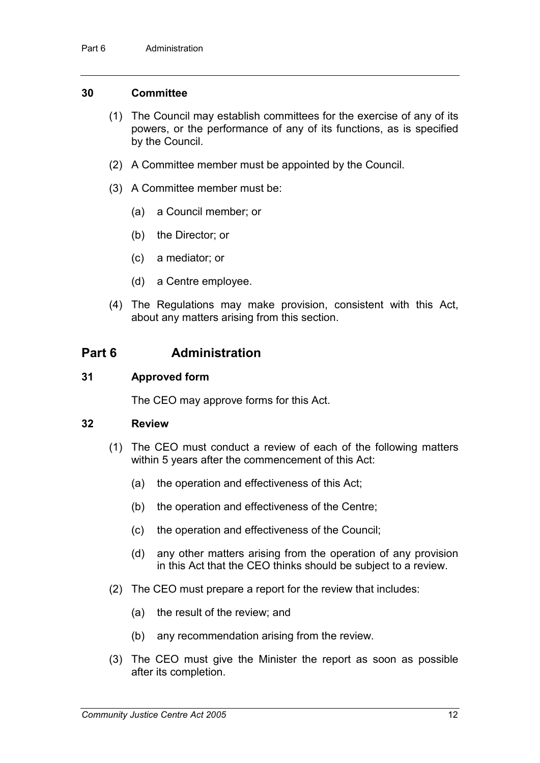#### **30 Committee**

- (1) The Council may establish committees for the exercise of any of its powers, or the performance of any of its functions, as is specified by the Council.
- (2) A Committee member must be appointed by the Council.
- (3) A Committee member must be:
	- (a) a Council member; or
	- (b) the Director; or
	- (c) a mediator; or
	- (d) a Centre employee.
- (4) The Regulations may make provision, consistent with this Act, about any matters arising from this section.

# **Part 6 Administration**

#### **31 Approved form**

The CEO may approve forms for this Act.

#### **32 Review**

- (1) The CEO must conduct a review of each of the following matters within 5 years after the commencement of this Act:
	- (a) the operation and effectiveness of this Act;
	- (b) the operation and effectiveness of the Centre;
	- (c) the operation and effectiveness of the Council;
	- (d) any other matters arising from the operation of any provision in this Act that the CEO thinks should be subject to a review.
- (2) The CEO must prepare a report for the review that includes:
	- (a) the result of the review; and
	- (b) any recommendation arising from the review.
- (3) The CEO must give the Minister the report as soon as possible after its completion.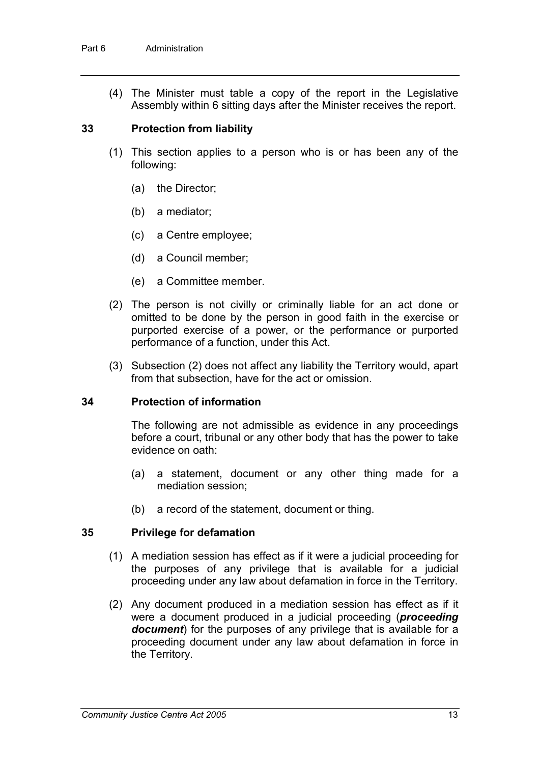(4) The Minister must table a copy of the report in the Legislative Assembly within 6 sitting days after the Minister receives the report.

#### **33 Protection from liability**

- (1) This section applies to a person who is or has been any of the following:
	- (a) the Director;
	- (b) a mediator;
	- (c) a Centre employee;
	- (d) a Council member;
	- (e) a Committee member.
- (2) The person is not civilly or criminally liable for an act done or omitted to be done by the person in good faith in the exercise or purported exercise of a power, or the performance or purported performance of a function, under this Act.
- (3) Subsection (2) does not affect any liability the Territory would, apart from that subsection, have for the act or omission.

#### **34 Protection of information**

The following are not admissible as evidence in any proceedings before a court, tribunal or any other body that has the power to take evidence on oath:

- (a) a statement, document or any other thing made for a mediation session;
- (b) a record of the statement, document or thing.

#### **35 Privilege for defamation**

- (1) A mediation session has effect as if it were a judicial proceeding for the purposes of any privilege that is available for a judicial proceeding under any law about defamation in force in the Territory.
- (2) Any document produced in a mediation session has effect as if it were a document produced in a judicial proceeding (*proceeding document*) for the purposes of any privilege that is available for a proceeding document under any law about defamation in force in the Territory.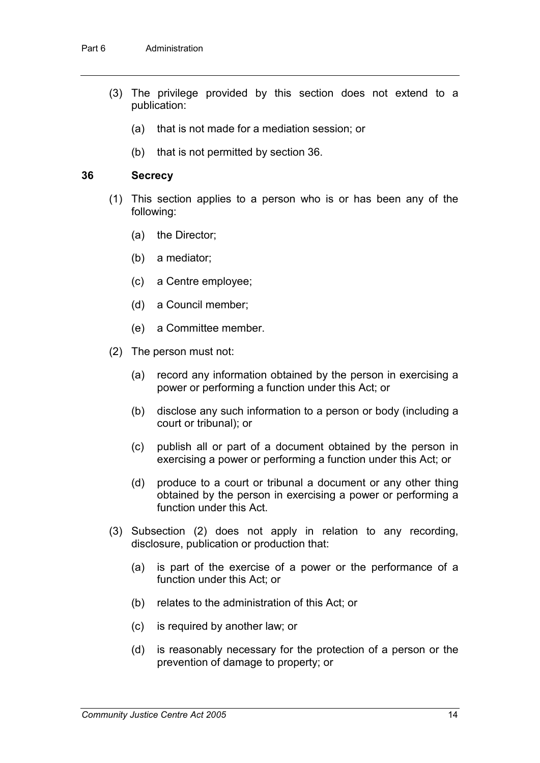- (3) The privilege provided by this section does not extend to a publication:
	- (a) that is not made for a mediation session; or
	- (b) that is not permitted by section 36.

#### **36 Secrecy**

- (1) This section applies to a person who is or has been any of the following:
	- (a) the Director;
	- (b) a mediator;
	- (c) a Centre employee;
	- (d) a Council member;
	- (e) a Committee member.
- (2) The person must not:
	- (a) record any information obtained by the person in exercising a power or performing a function under this Act; or
	- (b) disclose any such information to a person or body (including a court or tribunal); or
	- (c) publish all or part of a document obtained by the person in exercising a power or performing a function under this Act; or
	- (d) produce to a court or tribunal a document or any other thing obtained by the person in exercising a power or performing a function under this Act.
- (3) Subsection (2) does not apply in relation to any recording, disclosure, publication or production that:
	- (a) is part of the exercise of a power or the performance of a function under this Act; or
	- (b) relates to the administration of this Act; or
	- (c) is required by another law; or
	- (d) is reasonably necessary for the protection of a person or the prevention of damage to property; or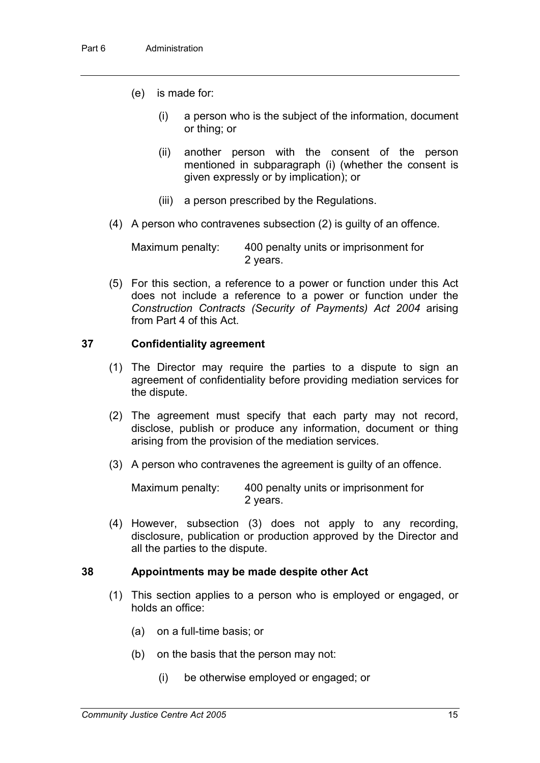- (e) is made for:
	- (i) a person who is the subject of the information, document or thing; or
	- (ii) another person with the consent of the person mentioned in subparagraph (i) (whether the consent is given expressly or by implication); or
	- (iii) a person prescribed by the Regulations.
- (4) A person who contravenes subsection (2) is guilty of an offence.

Maximum penalty: 400 penalty units or imprisonment for 2 years.

(5) For this section, a reference to a power or function under this Act does not include a reference to a power or function under the *Construction Contracts (Security of Payments) Act 2004* arising from Part 4 of this Act.

#### **37 Confidentiality agreement**

- (1) The Director may require the parties to a dispute to sign an agreement of confidentiality before providing mediation services for the dispute.
- (2) The agreement must specify that each party may not record, disclose, publish or produce any information, document or thing arising from the provision of the mediation services.
- (3) A person who contravenes the agreement is guilty of an offence.

Maximum penalty: 400 penalty units or imprisonment for 2 years.

(4) However, subsection (3) does not apply to any recording, disclosure, publication or production approved by the Director and all the parties to the dispute.

#### **38 Appointments may be made despite other Act**

- (1) This section applies to a person who is employed or engaged, or holds an office:
	- (a) on a full-time basis; or
	- (b) on the basis that the person may not:
		- (i) be otherwise employed or engaged; or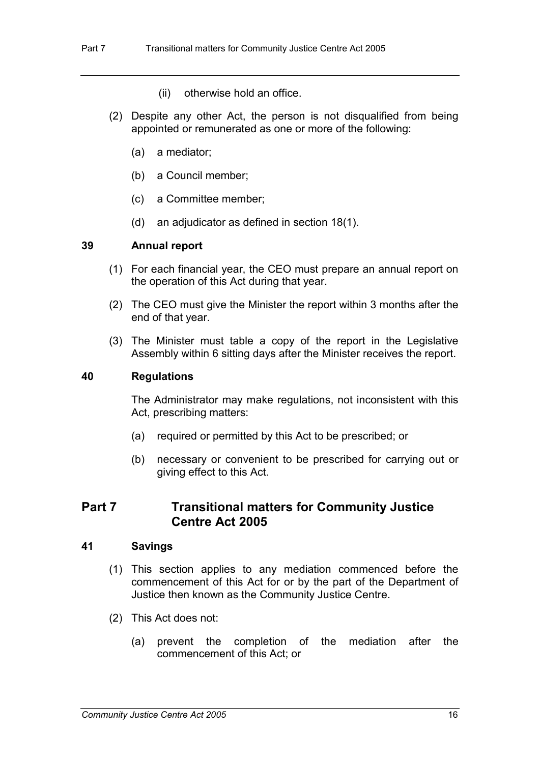- (ii) otherwise hold an office.
- (2) Despite any other Act, the person is not disqualified from being appointed or remunerated as one or more of the following:
	- (a) a mediator;
	- (b) a Council member;
	- (c) a Committee member;
	- (d) an adjudicator as defined in section 18(1).

#### **39 Annual report**

- (1) For each financial year, the CEO must prepare an annual report on the operation of this Act during that year.
- (2) The CEO must give the Minister the report within 3 months after the end of that year.
- (3) The Minister must table a copy of the report in the Legislative Assembly within 6 sitting days after the Minister receives the report.

#### **40 Regulations**

The Administrator may make regulations, not inconsistent with this Act, prescribing matters:

- (a) required or permitted by this Act to be prescribed; or
- (b) necessary or convenient to be prescribed for carrying out or giving effect to this Act.

## **Part 7 Transitional matters for Community Justice Centre Act 2005**

#### **41 Savings**

- (1) This section applies to any mediation commenced before the commencement of this Act for or by the part of the Department of Justice then known as the Community Justice Centre.
- (2) This Act does not:
	- (a) prevent the completion of the mediation after the commencement of this Act; or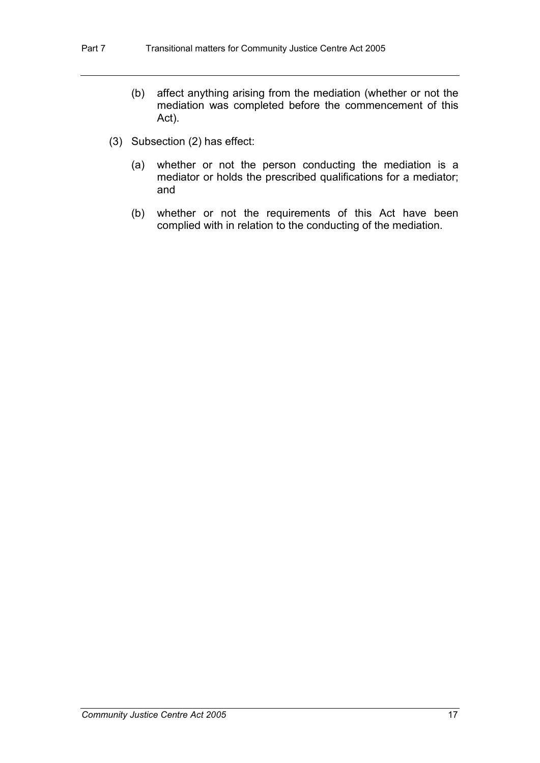- (b) affect anything arising from the mediation (whether or not the mediation was completed before the commencement of this Act).
- (3) Subsection (2) has effect:
	- (a) whether or not the person conducting the mediation is a mediator or holds the prescribed qualifications for a mediator; and
	- (b) whether or not the requirements of this Act have been complied with in relation to the conducting of the mediation.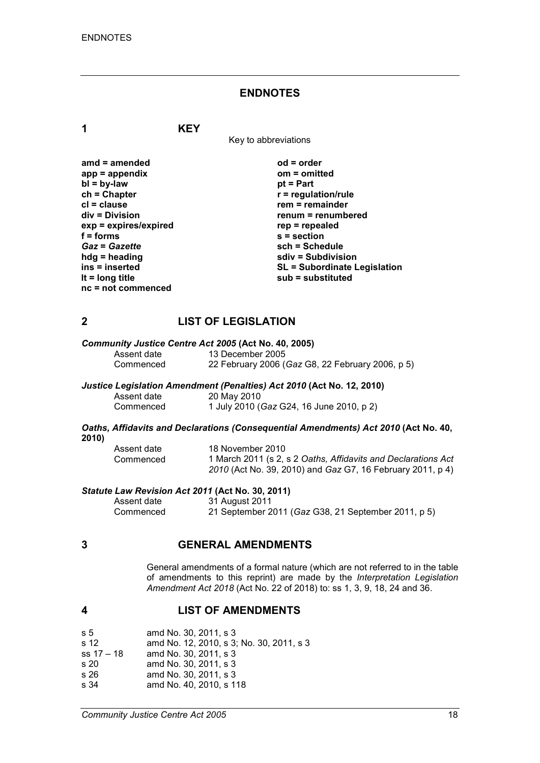#### **ENDNOTES**

**1 KEY**

Key to abbreviations

| $amd = amended$         |
|-------------------------|
|                         |
| $app = appendix$        |
| $bl = by-law$           |
| $ch = Chapter$          |
| $cl = clause$           |
| div = Division          |
| $exp = expires/expired$ |
| $f = forms$             |
| <b>Gaz = Gazette</b>    |
| hdg = heading           |
| ins = inserted          |
| It = $long$ title       |
| nc = not commenced      |
|                         |

**amd = amended od = order app = appendix om = omitted** *<u>pt</u>* **= Part**  $r$  = regulation/rule **crem** = remainder **div = Division renum = renumbered exp = expires/expired rep = repealed f = forms s = section** *Gaz* **=** *Gazette* **sch = Schedule hdg = heading sdiv = Subdivision ins = inserted SL = Subordinate Legislation lt = long title sub = substituted**

#### **2 LIST OF LEGISLATION**

# *Community Justice Centre Act 2005* **(Act No. 40, 2005)**

Assent date 13 December 2005<br>Commenced 22 February 2006 ( 22 February 2006 (*Gaz* G8, 22 February 2006, p 5)

#### *Justice Legislation Amendment (Penalties) Act 2010* **(Act No. 12, 2010)**

| Assent date | 20 May 2010                              |
|-------------|------------------------------------------|
| Commenced   | 1 July 2010 (Gaz G24, 16 June 2010, p 2) |

#### *Oaths, Affidavits and Declarations (Consequential Amendments) Act 2010* **(Act No. 40, 2010)**

| Assent date | 18 November 2010                                              |
|-------------|---------------------------------------------------------------|
| Commenced   | 1 March 2011 (s 2, s 2 Oaths, Affidavits and Declarations Act |
|             | 2010 (Act No. 39, 2010) and Gaz G7, 16 February 2011, p 4)    |

#### *Statute Law Revision Act 2011* **(Act No. 30, 2011)**

| Assent date | 31 August 2011                                      |
|-------------|-----------------------------------------------------|
| Commenced   | 21 September 2011 (Gaz G38, 21 September 2011, p 5) |

#### **3 GENERAL AMENDMENTS**

General amendments of a formal nature (which are not referred to in the table of amendments to this reprint) are made by the *Interpretation Legislation Amendment Act 2018* (Act No. 22 of 2018) to: ss 1, 3, 9, 18, 24 and 36.

#### **4 LIST OF AMENDMENTS**

| s 5             | amd No. 30, 2011, s 3                    |
|-----------------|------------------------------------------|
| s <sub>12</sub> | amd No. 12, 2010, s 3; No. 30, 2011, s 3 |
| $ss 17 - 18$    | amd No. 30, 2011, s 3                    |
| s 20            | amd No. 30, 2011, s 3                    |
| s 26            | amd No. 30, 2011, s 3                    |
| s 34            | amd No. 40, 2010, s 118                  |